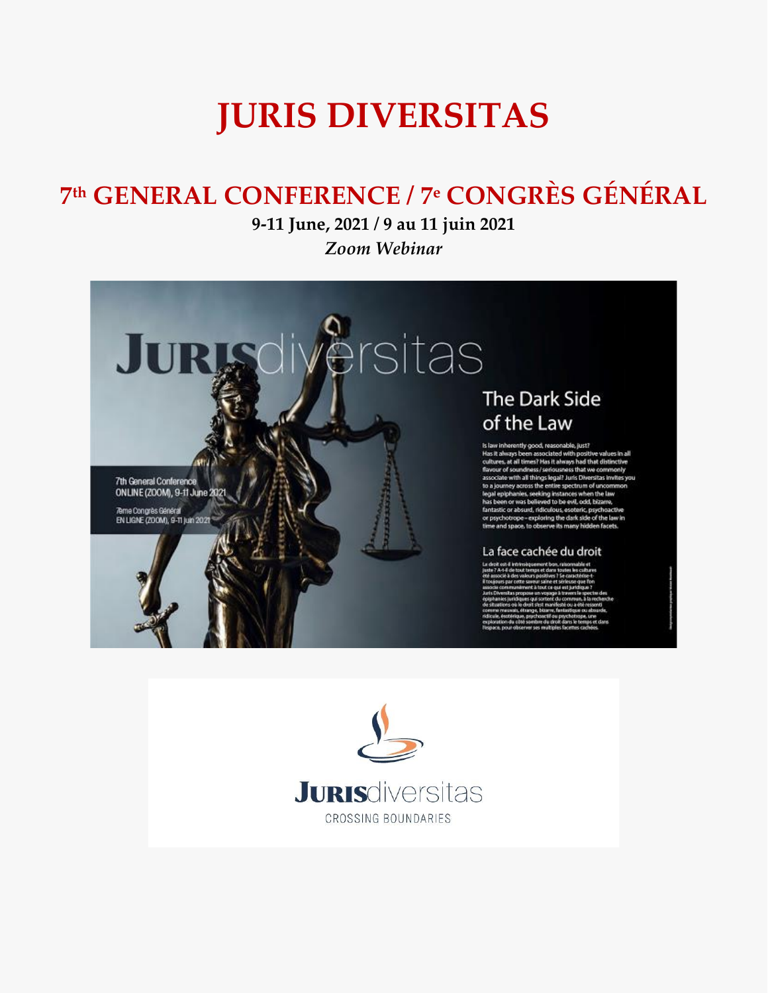# **JURIS DIVERSITAS**

## **7 th GENERAL CONFERENCE / 7 <sup>e</sup> CONGRÈS GÉNÉRAL**

## **9-11 June, 2021 / 9 au 11 juin 2021** *Zoom Webinar*



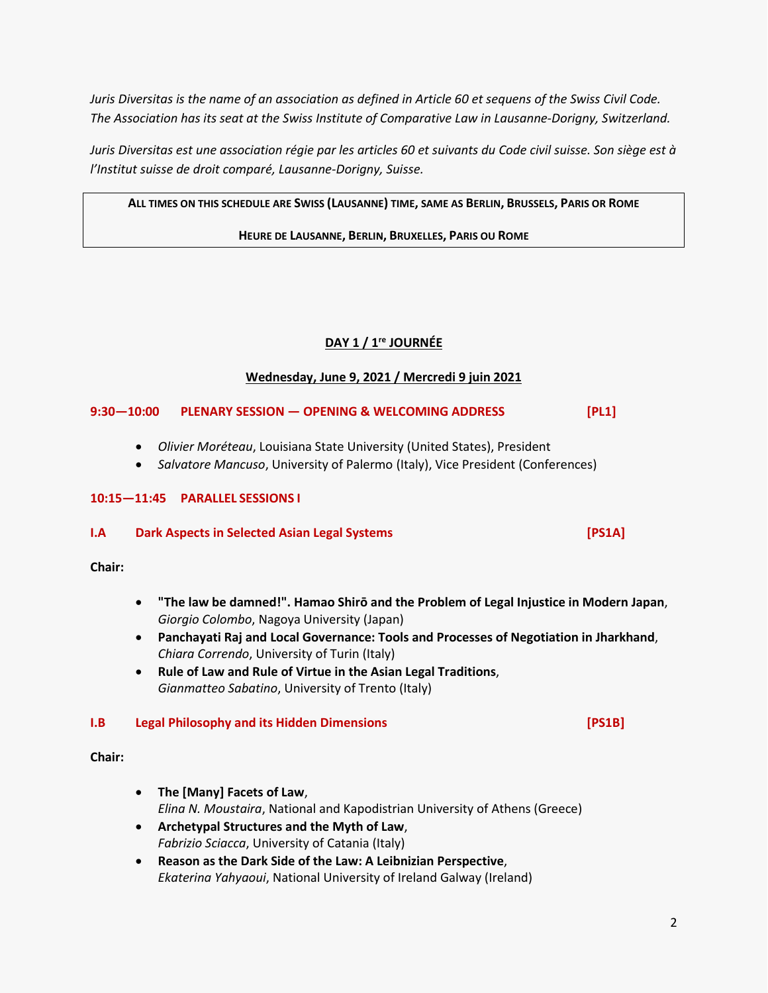*Juris Diversitas is the name of an association as defined in Article 60 et sequens of the Swiss Civil Code. The Association has its seat at the Swiss Institute of Comparative Law in Lausanne-Dorigny, Switzerland.*

*Juris Diversitas est une association régie par les articles 60 et suivants du Code civil suisse. Son siège est à l'Institut suisse de droit comparé, Lausanne-Dorigny, Suisse.*

ALL TIMES ON THIS SCHEDULE ARE SWISS (LAUSANNE) TIME, SAME AS BERLIN, BRUSSELS, PARIS OR ROME

#### **HEURE DE LAUSANNE, BERLIN, BRUXELLES, PARIS OU ROME**

### **DAY 1 / 1 re JOURNÉE**

#### **Wednesday, June 9, 2021 / Mercredi 9 juin 2021**

#### **9:30—10:00 PLENARY SESSION — OPENING & WELCOMING ADDRESS [PL1]**

- *Olivier Moréteau*, Louisiana State University (United States), President
- *Salvatore Mancuso*, University of Palermo (Italy), Vice President (Conferences)

#### **10:15—11:45 PARALLEL SESSIONS I**

#### **I.A Dark Aspects in Selected Asian Legal Systems [PS1A]**

**Chair:**

- **"The law be damned!". Hamao Shirō and the Problem of Legal Injustice in Modern Japan**, *Giorgio Colombo*, Nagoya University (Japan)
- **Panchayati Raj and Local Governance: Tools and Processes of Negotiation in Jharkhand**, *Chiara Correndo*, University of Turin (Italy)
- **Rule of Law and Rule of Virtue in the Asian Legal Traditions**, *Gianmatteo Sabatino*, University of Trento (Italy)

#### **I.B Legal Philosophy and its Hidden Dimensions [PS1B]**

**Chair:**

- **The [Many] Facets of Law**, *Elina N. Moustaira*, National and Kapodistrian University of Athens (Greece)
- **Archetypal Structures and the Myth of Law**, *Fabrizio Sciacca*, University of Catania (Italy)
- **Reason as the Dark Side of the Law: A Leibnizian Perspective**, *Ekaterina Yahyaoui*, National University of Ireland Galway (Ireland)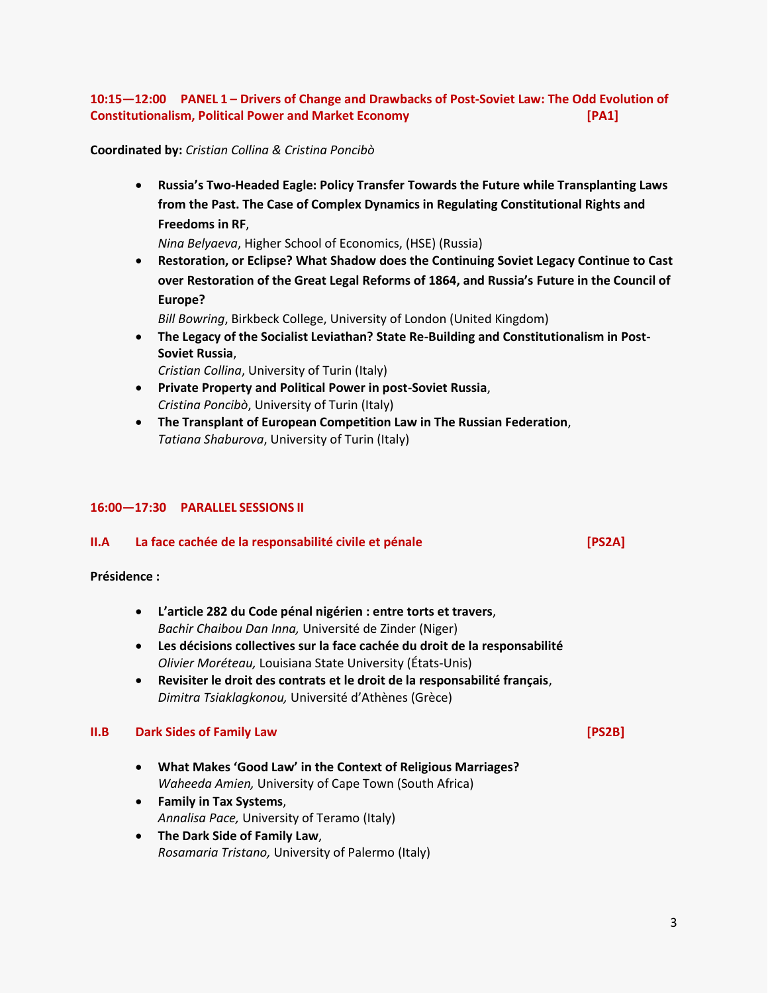#### **10:15—12:00 PANEL 1 – Drivers of Change and Drawbacks of Post-Soviet Law: The Odd Evolution of Constitutionalism, Political Power and Market Economy [PA1]**

#### **Coordinated by:** *Cristian Collina & Cristina Poncibò*

 **Russia's Two-Headed Eagle: Policy Transfer Towards the Future while Transplanting Laws from the Past. The Case of Complex Dynamics in Regulating Constitutional Rights and Freedoms in RF**,

*Nina Belyaeva*, Higher School of Economics, (HSE) (Russia)

 **Restoration, or Eclipse? What Shadow does the Continuing Soviet Legacy Continue to Cast over Restoration of the Great Legal Reforms of 1864, and Russia's Future in the Council of Europe?**

*Bill Bowring*, Birkbeck College, University of London (United Kingdom)

 **The Legacy of the Socialist Leviathan? State Re-Building and Constitutionalism in Post-Soviet Russia**,

*Cristian Collina*, University of Turin (Italy)

- **Private Property and Political Power in post-Soviet Russia**, *Cristina Poncibò*, University of Turin (Italy)
- **The Transplant of European Competition Law in The Russian Federation**, *Tatiana Shaburova*, University of Turin (Italy)

#### **16:00—17:30 PARALLEL SESSIONS II**

#### **II.A La face cachée de la responsabilité civile et pénale [PS2A]**

#### **Présidence :**

- **L'article 282 du Code pénal nigérien : entre torts et travers**, *Bachir Chaibou Dan Inna,* Université de Zinder (Niger)
- **Les décisions collectives sur la face cachée du droit de la responsabilité** *Olivier Moréteau,* Louisiana State University (États-Unis)
- **Revisiter le droit des contrats et le droit de la responsabilité français**, *Dimitra Tsiaklagkonou,* Université d'Athènes (Grèce)

#### **II.B Dark Sides of Family Law [PS2B]**

- **What Makes 'Good Law' in the Context of Religious Marriages?** *Waheeda Amien,* University of Cape Town (South Africa)
- **Family in Tax Systems**, *Annalisa Pace,* University of Teramo (Italy)
- **The Dark Side of Family Law**, *Rosamaria Tristano,* University of Palermo (Italy)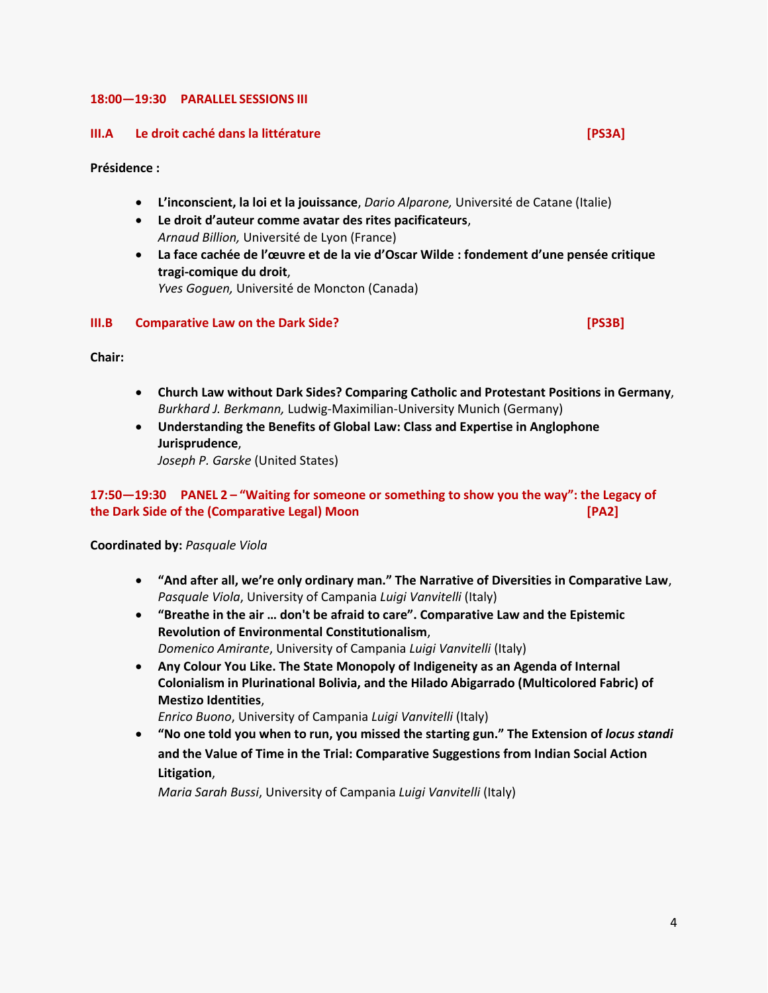#### **18:00—19:30 PARALLEL SESSIONS III**

#### **III.A Le droit caché dans la littérature [PS3A]**

**Présidence :**

- **L'inconscient, la loi et la jouissance**, *Dario Alparone,* Université de Catane (Italie)
- **Le droit d'auteur comme avatar des rites pacificateurs**, *Arnaud Billion,* Université de Lyon (France)
- **La face cachée de l'œuvre et de la vie d'Oscar Wilde : fondement d'une pensée critique tragi-comique du droit**, *Yves Goguen,* Université de Moncton (Canada)

#### **III.B Comparative Law on the Dark Side? [PS3B]**

**Chair:**

- **Church Law without Dark Sides? Comparing Catholic and Protestant Positions in Germany**, *Burkhard J. Berkmann,* Ludwig-Maximilian-University Munich (Germany)
- **Understanding the Benefits of Global Law: Class and Expertise in Anglophone Jurisprudence**,

*Joseph P. Garske* (United States)

#### **17:50—19:30 PANEL 2 – "Waiting for someone or something to show you the way": the Legacy of the Dark Side of the (Comparative Legal) Moon [PA2]**

**Coordinated by:** *Pasquale Viola*

- **"And after all, we're only ordinary man." The Narrative of Diversities in Comparative Law**, *Pasquale Viola*, University of Campania *Luigi Vanvitelli* (Italy)
- **"Breathe in the air … don't be afraid to care". Comparative Law and the Epistemic Revolution of Environmental Constitutionalism**, *Domenico Amirante*, University of Campania *Luigi Vanvitelli* (Italy)
- **Any Colour You Like. The State Monopoly of Indigeneity as an Agenda of Internal Colonialism in Plurinational Bolivia, and the Hilado Abigarrado (Multicolored Fabric) of Mestizo Identities**,

*Enrico Buono*, University of Campania *Luigi Vanvitelli* (Italy)

 **"No one told you when to run, you missed the starting gun." The Extension of** *locus standi* **and the Value of Time in the Trial: Comparative Suggestions from Indian Social Action Litigation**,

*Maria Sarah Bussi*, University of Campania *Luigi Vanvitelli* (Italy)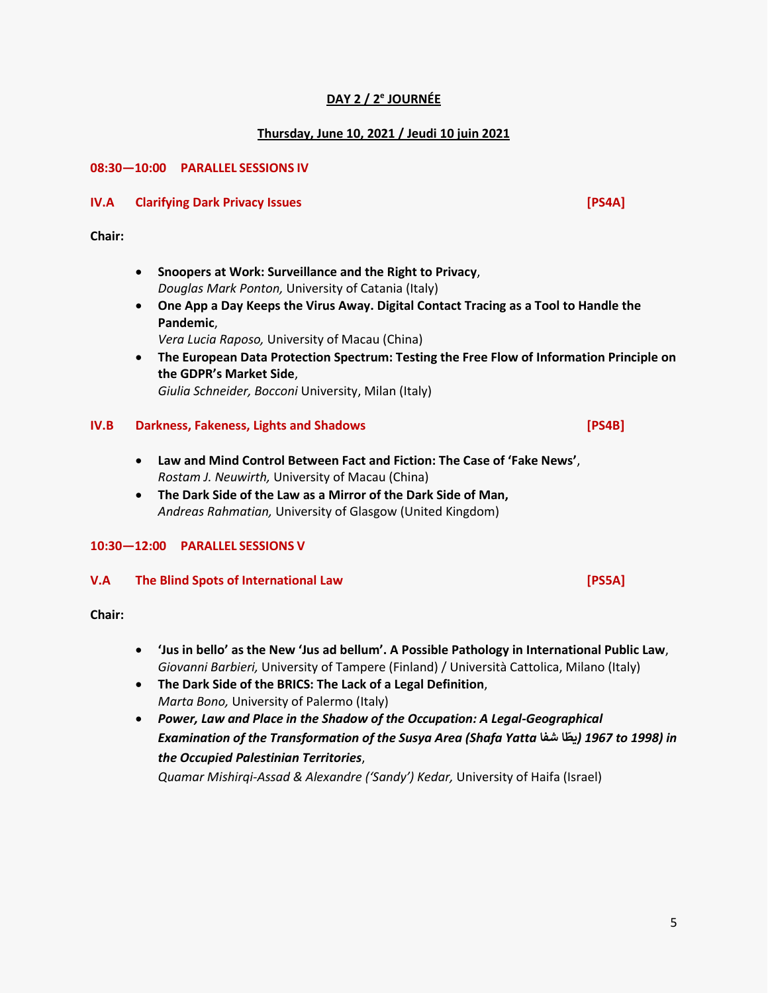5

### **DAY 2 / 2 e JOURNÉE**

#### **Thursday, June 10, 2021 / Jeudi 10 juin 2021**

#### **08:30—10:00 PARALLEL SESSIONS IV**

#### **IV.A Clarifying Dark Privacy Issues [PS4A]**

**Chair:**

- **Snoopers at Work: Surveillance and the Right to Privacy**, *Douglas Mark Ponton,* University of Catania (Italy)
- **One App a Day Keeps the Virus Away. Digital Contact Tracing as a Tool to Handle the Pandemic**,

*Vera Lucia Raposo,* University of Macau (China)

 **The European Data Protection Spectrum: Testing the Free Flow of Information Principle on the GDPR's Market Side**,

*Giulia Schneider, Bocconi* University, Milan (Italy)

#### **IV.B Darkness, Fakeness, Lights and Shadows [PS4B]**

- **Law and Mind Control Between Fact and Fiction: The Case of 'Fake News'**, *Rostam J. Neuwirth,* University of Macau (China)
- **The Dark Side of the Law as a Mirror of the Dark Side of Man,** *Andreas Rahmatian,* University of Glasgow (United Kingdom)

#### **10:30—12:00 PARALLEL SESSIONS V**

#### **V.A The Blind Spots of International Law [PS5A]**

**Chair:**

- **'Jus in bello' as the New 'Jus ad bellum'. A Possible Pathology in International Public Law**, *Giovanni Barbieri,* University of Tampere (Finland) / Università Cattolica, Milano (Italy)
- **The Dark Side of the BRICS: The Lack of a Legal Definition**, *Marta Bono,* University of Palermo (Italy)
- *Power, Law and Place in the Shadow of the Occupation: A Legal-Geographical Examination of the Transformation of the Susya Area (Shafa Yatta* **شفا ا ّ يط** *(1967 to 1998) in the Occupied Palestinian Territories*,

*Quamar Mishirqi-Assad & Alexandre ('Sandy') Kedar,* University of Haifa (Israel)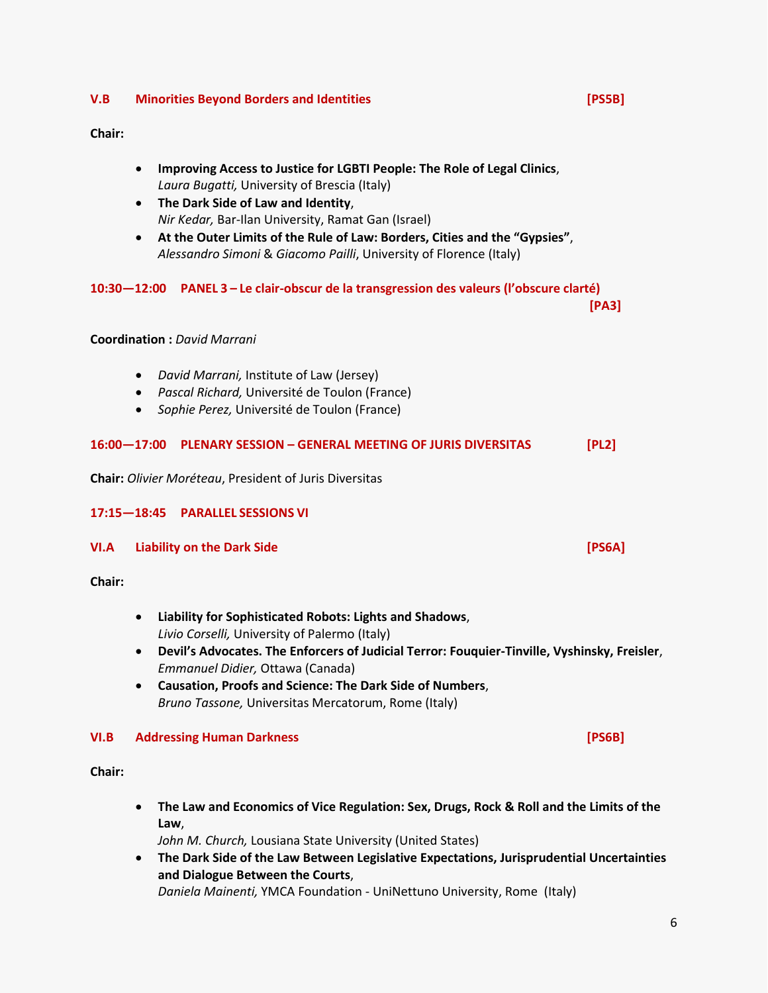#### **V.B Minorities Beyond Borders and Identities [PS5B]**

#### **Chair:**

- **Improving Access to Justice for LGBTI People: The Role of Legal Clinics**, *Laura Bugatti,* University of Brescia (Italy)
- **The Dark Side of Law and Identity**, *Nir Kedar,* Bar-Ilan University, Ramat Gan (Israel)
- **At the Outer Limits of the Rule of Law: Borders, Cities and the "Gypsies"**, *Alessandro Simoni* & *Giacomo Pailli*, University of Florence (Italy)

#### **10:30—12:00 PANEL 3 – Le clair-obscur de la transgression des valeurs (l'obscure clarté)**

**[PA3]**

#### **Coordination :** *David Marrani*

- *David Marrani,* Institute of Law (Jersey)
- *Pascal Richard,* Université de Toulon (France)
- *Sophie Perez,* Université de Toulon (France)

#### **16:00—17:00 PLENARY SESSION – GENERAL MEETING OF JURIS DIVERSITAS [PL2]**

**Chair:** *Olivier Moréteau*, President of Juris Diversitas

#### **17:15—18:45 PARALLEL SESSIONS VI**

#### **VI.A Liability on the Dark Side [PS6A]**

**Chair:**

- **Liability for Sophisticated Robots: Lights and Shadows**, *Livio Corselli,* University of Palermo (Italy)
- **Devil's Advocates. The Enforcers of Judicial Terror: Fouquier-Tinville, Vyshinsky, Freisler**, *Emmanuel Didier,* Ottawa (Canada)
- **Causation, Proofs and Science: The Dark Side of Numbers**, *Bruno Tassone,* Universitas Mercatorum, Rome (Italy)

#### **VI.B Addressing Human Darkness [PS6B]**

**Chair:**

 **The Law and Economics of Vice Regulation: Sex, Drugs, Rock & Roll and the Limits of the Law**,

*John M. Church,* Lousiana State University (United States)

 **The Dark Side of the Law Between Legislative Expectations, Jurisprudential Uncertainties and Dialogue Between the Courts**,

*Daniela Mainenti,* YMCA Foundation - UniNettuno University, Rome (Italy)

6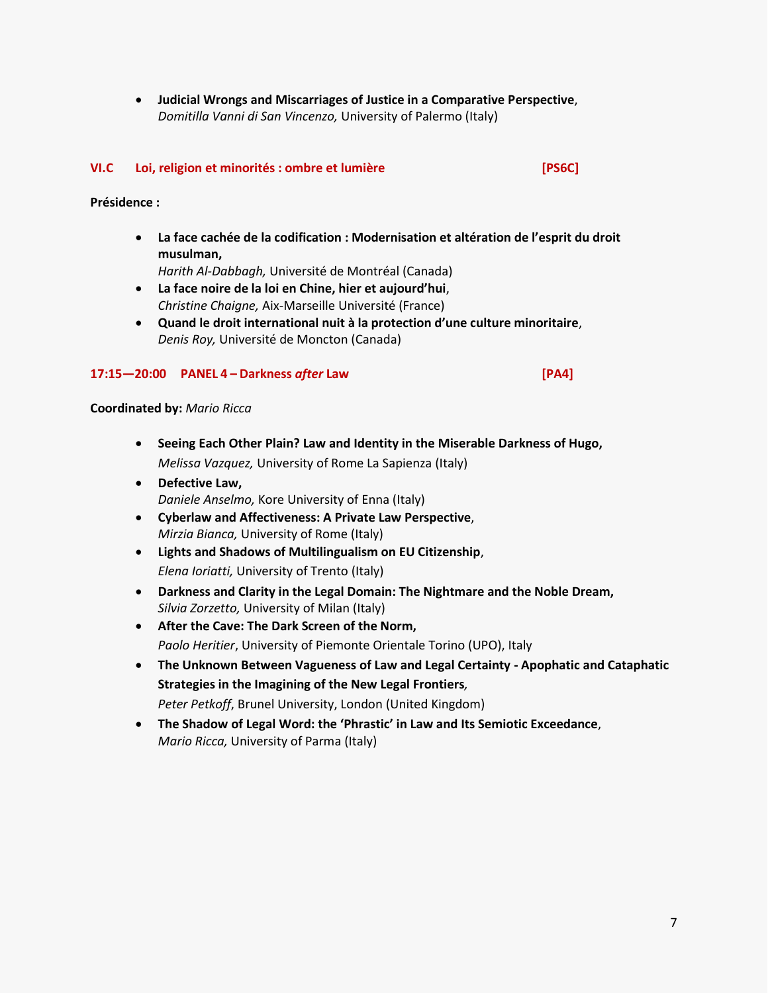**Judicial Wrongs and Miscarriages of Justice in a Comparative Perspective**, *Domitilla Vanni di San Vincenzo,* University of Palermo (Italy)

#### **VI.C Loi, religion et minorités : ombre et lumière [PS6C]**

**Présidence :**

 **La face cachée de la codification : Modernisation et altération de l'esprit du droit musulman,** 

*Harith Al-Dabbagh,* Université de Montréal (Canada)

- **La face noire de la loi en Chine, hier et aujourd'hui**, *Christine Chaigne,* Aix-Marseille Université (France)
- **Quand le droit international nuit à la protection d'une culture minoritaire**, *Denis Roy,* Université de Moncton (Canada)

#### **17:15—20:00 PANEL 4 – Darkness** *after* **Law [PA4]**

#### **Coordinated by:** *Mario Ricca*

- **Seeing Each Other Plain? Law and Identity in the Miserable Darkness of Hugo,** *Melissa Vazquez,* University of Rome La Sapienza (Italy)
- **Defective Law,** *Daniele Anselmo,* Kore University of Enna (Italy)
- **Cyberlaw and Affectiveness: A Private Law Perspective**, *Mirzia Bianca,* University of Rome (Italy)
- **Lights and Shadows of Multilingualism on EU Citizenship**, *Elena Ioriatti,* University of Trento (Italy)
- **Darkness and Clarity in the Legal Domain: The Nightmare and the Noble Dream,** *Silvia Zorzetto,* University of Milan (Italy)
- **After the Cave: The Dark Screen of the Norm,** *Paolo Heritier*, University of Piemonte Orientale Torino (UPO), Italy
- **The Unknown Between Vagueness of Law and Legal Certainty - Apophatic and Cataphatic Strategies in the Imagining of the New Legal Frontiers***, Peter Petkoff*, Brunel University, London (United Kingdom)
- **The Shadow of Legal Word: the 'Phrastic' in Law and Its Semiotic Exceedance**, *Mario Ricca,* University of Parma (Italy)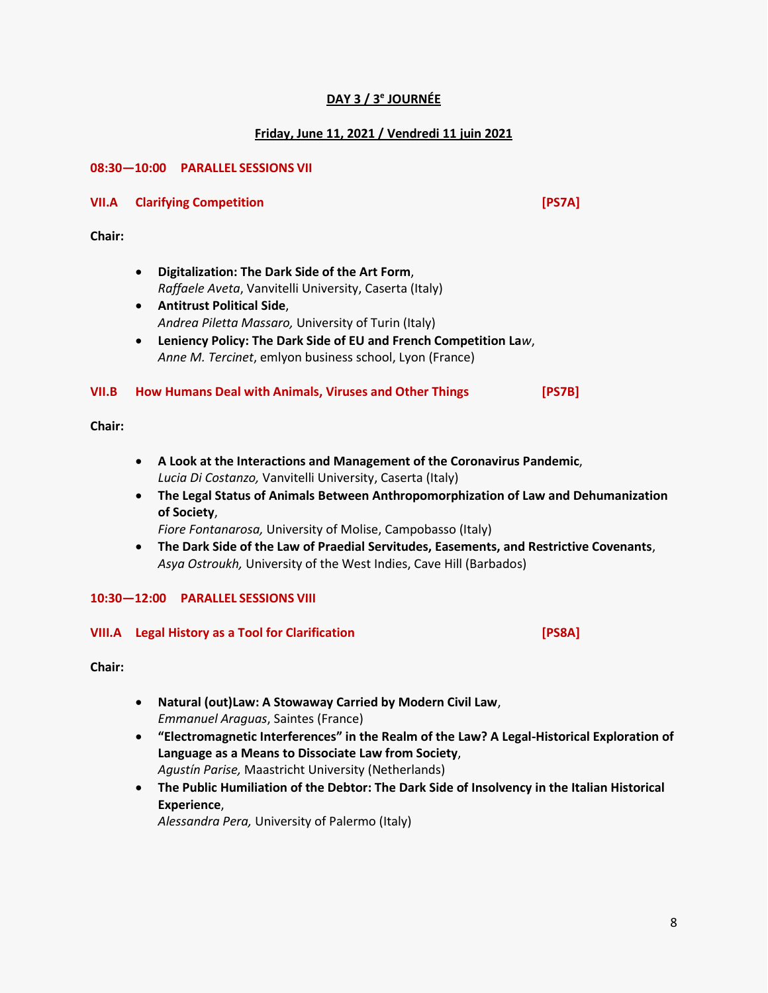### **DAY 3 / 3 e JOURNÉE**

#### **Friday, June 11, 2021 / Vendredi 11 juin 2021**

#### **08:30—10:00 PARALLEL SESSIONS VII**

#### **VII.A Clarifying Competition [PS7A]**

**Chair:**

- **Digitalization: The Dark Side of the Art Form**, *Raffaele Aveta*, Vanvitelli University, Caserta (Italy)
- **Antitrust Political Side**, *Andrea Piletta Massaro,* University of Turin (Italy)
- **Leniency Policy: The Dark Side of EU and French Competition La***w*, *Anne M. Tercinet*, emlyon business school, Lyon (France)

#### **VII.B How Humans Deal with Animals, Viruses and Other Things [PS7B]**

**Chair:**

- **A Look at the Interactions and Management of the Coronavirus Pandemic**, *Lucia Di Costanzo,* Vanvitelli University, Caserta (Italy)
- **The Legal Status of Animals Between Anthropomorphization of Law and Dehumanization of Society**,

*Fiore Fontanarosa,* University of Molise, Campobasso (Italy)

 **The Dark Side of the Law of Praedial Servitudes, Easements, and Restrictive Covenants**, *Asya Ostroukh,* University of the West Indies, Cave Hill (Barbados)

#### **10:30—12:00 PARALLEL SESSIONS VIII**

#### **VIII.A Legal History as a Tool for Clarification [PS8A]**

**Chair:**

- **Natural (out)Law: A Stowaway Carried by Modern Civil Law**, *Emmanuel Araguas*, Saintes (France)
- **"Electromagnetic Interferences" in the Realm of the Law? A Legal-Historical Exploration of Language as a Means to Dissociate Law from Society**, *Agustín Parise,* Maastricht University (Netherlands)
- **The Public Humiliation of the Debtor: The Dark Side of Insolvency in the Italian Historical Experience**,

*Alessandra Pera,* University of Palermo (Italy)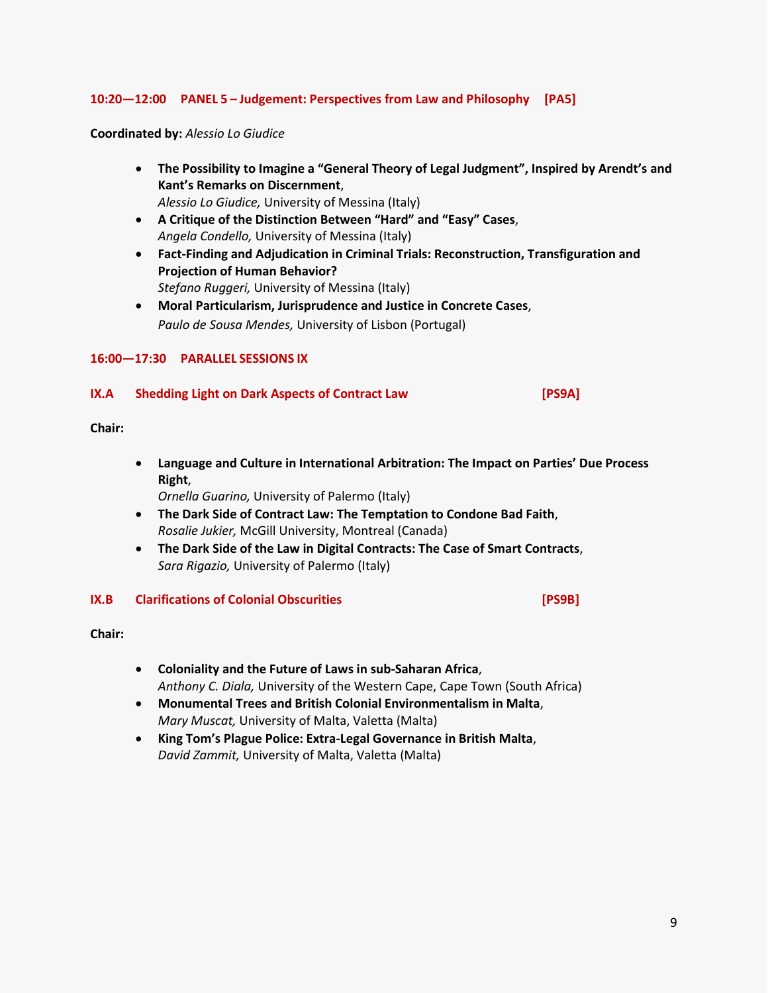#### **10:20—12:00 PANEL 5 – Judgement: Perspectives from Law and Philosophy [PA5]**

**Coordinated by:** *Alessio Lo Giudice*

- **The Possibility to Imagine a "General Theory of Legal Judgment", Inspired by Arendt's and Kant's Remarks on Discernment**,
	- *Alessio Lo Giudice,* University of Messina (Italy)
- **A Critique of the Distinction Between "Hard" and "Easy" Cases**, *Angela Condello,* University of Messina (Italy)
- **Fact-Finding and Adjudication in Criminal Trials: Reconstruction, Transfiguration and Projection of Human Behavior?** *Stefano Ruggeri,* University of Messina (Italy)
- **Moral Particularism, Jurisprudence and Justice in Concrete Cases**, *Paulo de Sousa Mendes,* University of Lisbon (Portugal)

#### **16:00—17:30 PARALLEL SESSIONS IX**

#### **IX.A Shedding Light on Dark Aspects of Contract Law [PS9A]**

#### **Chair:**

 **Language and Culture in International Arbitration: The Impact on Parties' Due Process Right**,

*Ornella Guarino,* University of Palermo (Italy)

- **The Dark Side of Contract Law: The Temptation to Condone Bad Faith**, *Rosalie Jukier,* McGill University, Montreal (Canada)
- **The Dark Side of the Law in Digital Contracts: The Case of Smart Contracts**, *Sara Rigazio,* University of Palermo (Italy)

#### **IX.B Clarifications of Colonial Obscurities [PS9B]**

**Chair:**

- **Coloniality and the Future of Laws in sub-Saharan Africa**, *Anthony C. Diala,* University of the Western Cape, Cape Town (South Africa)
- **Monumental Trees and British Colonial Environmentalism in Malta**, *Mary Muscat,* University of Malta, Valetta (Malta)
- **King Tom's Plague Police: Extra-Legal Governance in British Malta**, *David Zammit,* University of Malta, Valetta (Malta)